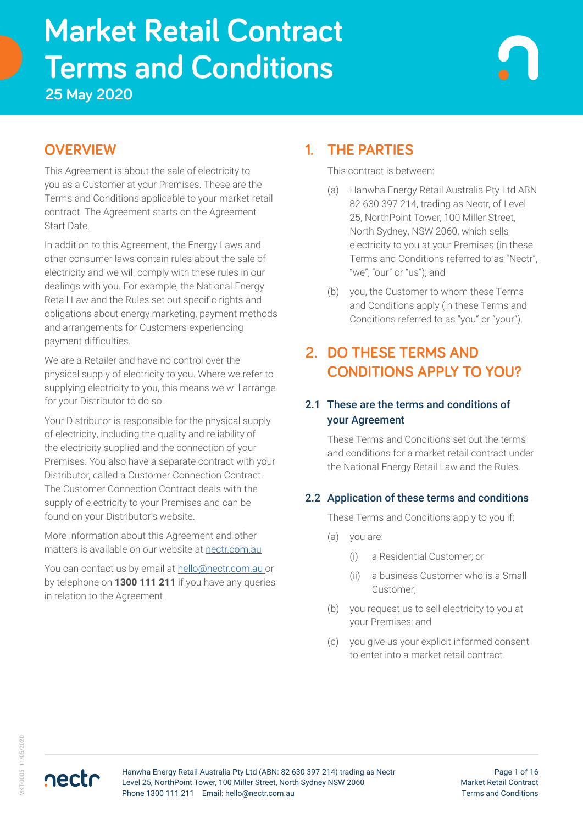# **Terms and Conditions Market Retail Contract**

**25 May 2020**

# **OVERVIEW**

This Agreement is about the sale of electricity to you as a Customer at your Premises. These are the Terms and Conditions applicable to your market retail contract. The Agreement starts on the Agreement Start Date.

In addition to this Agreement, the Energy Laws and other consumer laws contain rules about the sale of electricity and we will comply with these rules in our dealings with you. For example, the National Energy Retail Law and the Rules set out specific rights and obligations about energy marketing, payment methods and arrangements for Customers experiencing payment difficulties.

We are a Retailer and have no control over the physical supply of electricity to you. Where we refer to supplying electricity to you, this means we will arrange for your Distributor to do so.

Your Distributor is responsible for the physical supply of electricity, including the quality and reliability of the electricity supplied and the connection of your Premises. You also have a separate contract with your Distributor, called a Customer Connection Contract. The Customer Connection Contract deals with the supply of electricity to your Premises and can be found on your Distributor's website.

More information about this Agreement and other matters is available on our website at [nectr.com.au](https://nectr.com.au/)

You can contact us by email at [hello@nectr.com.au o](mailto:hello%40nectr.com.au%20?subject=)r by telephone on **1300 111 211** if you have any queries in relation to the Agreement.

# **1. THE PARTIES**

This contract is between:

- (a) Hanwha Energy Retail Australia Pty Ltd ABN 82 630 397 214, trading as Nectr, of Level 25, NorthPoint Tower, 100 Miller Street, North Sydney, NSW 2060, which sells electricity to you at your Premises (in these Terms and Conditions referred to as "Nectr", "we", "our" or "us"); and
- (b) you, the Customer to whom these Terms and Conditions apply (in these Terms and Conditions referred to as "you" or "your").

# **2. DO THESE TERMS AND CONDITIONS APPLY TO YOU?**

### 2.1 These are the terms and conditions of your Agreement

These Terms and Conditions set out the terms and conditions for a market retail contract under the National Energy Retail Law and the Rules.

### 2.2 Application of these terms and conditions

These Terms and Conditions apply to you if:

- (a) you are:
	- (i) a Residential Customer; or
	- (ii) a business Customer who is a Small Customer;
- (b) you request us to sell electricity to you at your Premises; and
- (c) you give us your explicit informed consent to enter into a market retail contract.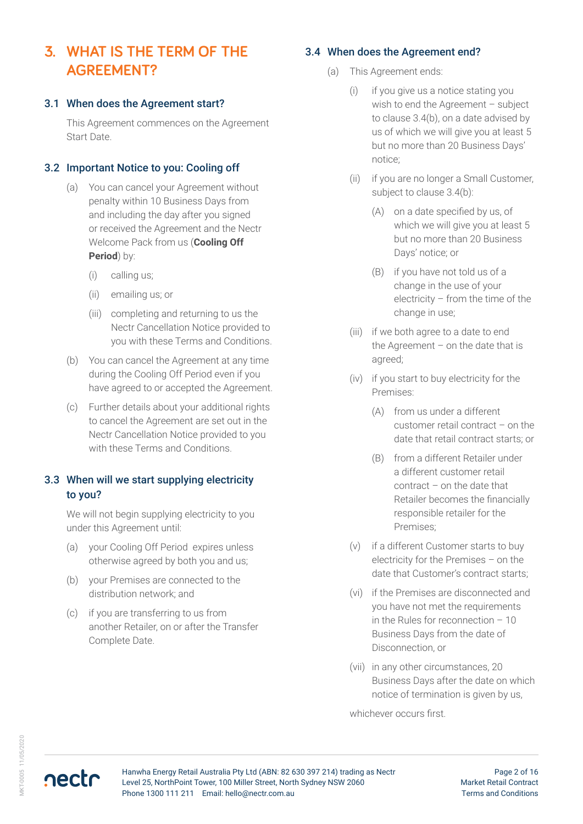# **3. WHAT IS THE TERM OF THE AGREEMENT?**

#### 3.1 When does the Agreement start?

This Agreement commences on the Agreement Start Date.

### 3.2 Important Notice to you: Cooling off

- (a) You can cancel your Agreement without penalty within 10 Business Days from and including the day after you signed or received the Agreement and the Nectr Welcome Pack from us (**Cooling Off Period**) by:
	- (i) calling us;
	- (ii) emailing us; or
	- (iii) completing and returning to us the Nectr Cancellation Notice provided to you with these Terms and Conditions.
- (b) You can cancel the Agreement at any time during the Cooling Off Period even if you have agreed to or accepted the Agreement.
- (c) Further details about your additional rights to cancel the Agreement are set out in the Nectr Cancellation Notice provided to you with these Terms and Conditions.

### 3.3 When will we start supplying electricity to you?

We will not begin supplying electricity to you under this Agreement until:

- (a) your Cooling Off Period expires unless otherwise agreed by both you and us;
- (b) your Premises are connected to the distribution network; and
- (c) if you are transferring to us from another Retailer, on or after the Transfer Complete Date.

### 3.4 When does the Agreement end?

- (a) This Agreement ends:
	- (i) if you give us a notice stating you wish to end the Agreement – subject to clause 3.4(b), on a date advised by us of which we will give you at least 5 but no more than 20 Business Days' notice;
	- (ii) if you are no longer a Small Customer, subject to clause 3.4(b):
		- (A) on a date specified by us, of which we will give you at least 5 but no more than 20 Business Days' notice; or
		- (B) if you have not told us of a change in the use of your electricity – from the time of the change in use;
	- (iii) if we both agree to a date to end the Agreement – on the date that is agreed;
	- (iv) if you start to buy electricity for the Premises:
		- (A) from us under a different customer retail contract – on the date that retail contract starts; or
		- (B) from a different Retailer under a different customer retail contract – on the date that Retailer becomes the financially responsible retailer for the Premises;
	- (v) if a different Customer starts to buy electricity for the Premises – on the date that Customer's contract starts;
	- (vi) if the Premises are disconnected and you have not met the requirements in the Rules for reconnection – 10 Business Days from the date of Disconnection, or
	- (vii) in any other circumstances, 20 Business Days after the date on which notice of termination is given by us,

whichever occurs first.



Page 2 of 16 Market Retail Contract Terms and Conditions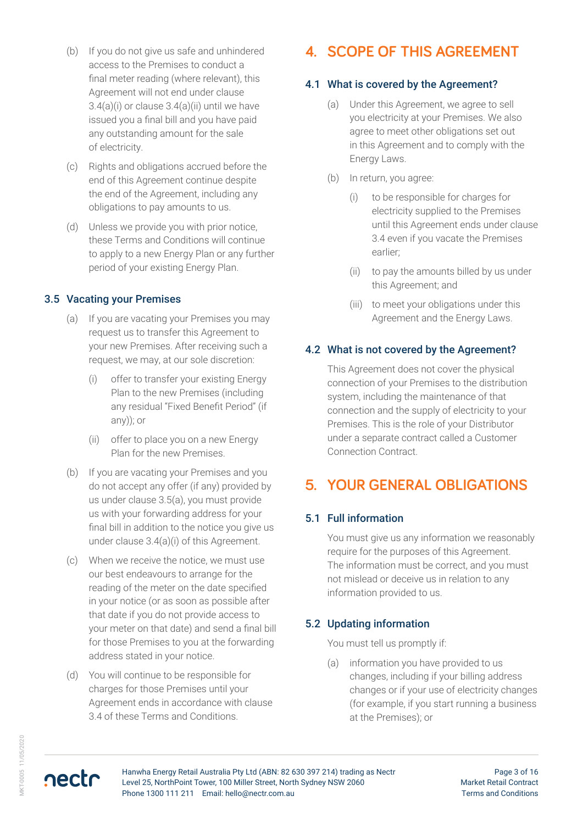- (b) If you do not give us safe and unhindered access to the Premises to conduct a final meter reading (where relevant), this Agreement will not end under clause  $3.4(a)(i)$  or clause  $3.4(a)(ii)$  until we have issued you a final bill and you have paid any outstanding amount for the sale of electricity.
- (c) Rights and obligations accrued before the end of this Agreement continue despite the end of the Agreement, including any obligations to pay amounts to us.
- (d) Unless we provide you with prior notice, these Terms and Conditions will continue to apply to a new Energy Plan or any further period of your existing Energy Plan.

### 3.5 Vacating your Premises

- (a) If you are vacating your Premises you may request us to transfer this Agreement to your new Premises. After receiving such a request, we may, at our sole discretion:
	- (i) offer to transfer your existing Energy Plan to the new Premises (including any residual "Fixed Benefit Period" (if any)); or
	- (ii) offer to place you on a new Energy Plan for the new Premises.
- (b) If you are vacating your Premises and you do not accept any offer (if any) provided by us under clause 3.5(a), you must provide us with your forwarding address for your final bill in addition to the notice you give us under clause 3.4(a)(i) of this Agreement.
- (c) When we receive the notice, we must use our best endeavours to arrange for the reading of the meter on the date specified in your notice (or as soon as possible after that date if you do not provide access to your meter on that date) and send a final bill for those Premises to you at the forwarding address stated in your notice.
- (d) You will continue to be responsible for charges for those Premises until your Agreement ends in accordance with clause 3.4 of these Terms and Conditions.

# **4. SCOPE OF THIS AGREEMENT**

### 4.1 What is covered by the Agreement?

- (a) Under this Agreement, we agree to sell you electricity at your Premises. We also agree to meet other obligations set out in this Agreement and to comply with the Energy Laws.
- (b) In return, you agree:
	- (i) to be responsible for charges for electricity supplied to the Premises until this Agreement ends under clause 3.4 even if you vacate the Premises earlier;
	- (ii) to pay the amounts billed by us under this Agreement; and
	- (iii) to meet your obligations under this Agreement and the Energy Laws.

### 4.2 What is not covered by the Agreement?

This Agreement does not cover the physical connection of your Premises to the distribution system, including the maintenance of that connection and the supply of electricity to your Premises. This is the role of your Distributor under a separate contract called a Customer Connection Contract.

# **5. YOUR GENERAL OBLIGATIONS**

### 5.1 Full information

You must give us any information we reasonably require for the purposes of this Agreement. The information must be correct, and you must not mislead or deceive us in relation to any information provided to us.

### 5.2 Updating information

You must tell us promptly if:

(a) information you have provided to us changes, including if your billing address changes or if your use of electricity changes (for example, if you start running a business at the Premises); or

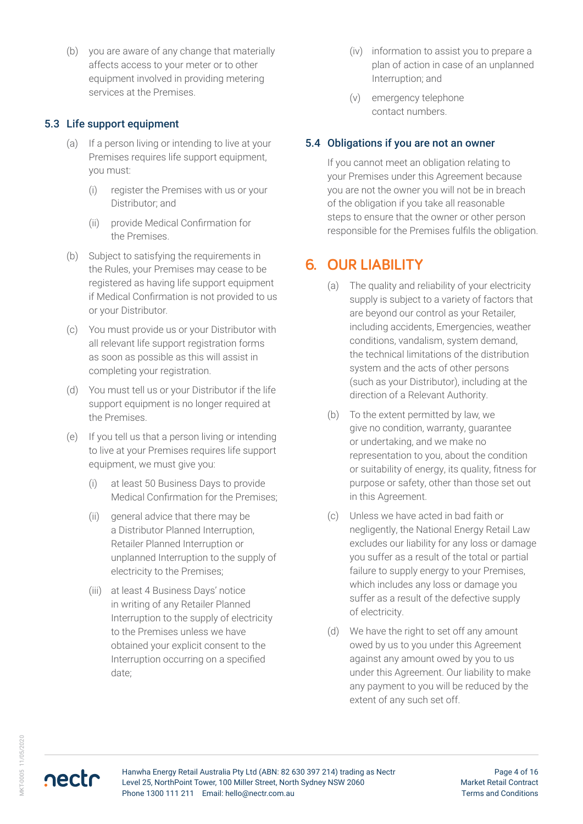(b) you are aware of any change that materially affects access to your meter or to other equipment involved in providing metering services at the Premises.

### 5.3 Life support equipment

- (a) If a person living or intending to live at your Premises requires life support equipment, you must:
	- (i) register the Premises with us or your Distributor; and
	- (ii) provide Medical Confirmation for the Premises.
- (b) Subject to satisfying the requirements in the Rules, your Premises may cease to be registered as having life support equipment if Medical Confirmation is not provided to us or your Distributor.
- (c) You must provide us or your Distributor with all relevant life support registration forms as soon as possible as this will assist in completing your registration.
- (d) You must tell us or your Distributor if the life support equipment is no longer required at the Premises.
- (e) If you tell us that a person living or intending to live at your Premises requires life support equipment, we must give you:
	- (i) at least 50 Business Days to provide Medical Confirmation for the Premises;
	- (ii) general advice that there may be a Distributor Planned Interruption, Retailer Planned Interruption or unplanned Interruption to the supply of electricity to the Premises;
	- (iii) at least 4 Business Days' notice in writing of any Retailer Planned Interruption to the supply of electricity to the Premises unless we have obtained your explicit consent to the Interruption occurring on a specified date;
- (iv) information to assist you to prepare a plan of action in case of an unplanned Interruption; and
- (v) emergency telephone contact numbers.

### 5.4 Obligations if you are not an owner

If you cannot meet an obligation relating to your Premises under this Agreement because you are not the owner you will not be in breach of the obligation if you take all reasonable steps to ensure that the owner or other person responsible for the Premises fulfils the obligation.

# **6. OUR LIABILITY**

- (a) The quality and reliability of your electricity supply is subject to a variety of factors that are beyond our control as your Retailer, including accidents, Emergencies, weather conditions, vandalism, system demand, the technical limitations of the distribution system and the acts of other persons (such as your Distributor), including at the direction of a Relevant Authority.
- (b) To the extent permitted by law, we give no condition, warranty, guarantee or undertaking, and we make no representation to you, about the condition or suitability of energy, its quality, fitness for purpose or safety, other than those set out in this Agreement.
- (c) Unless we have acted in bad faith or negligently, the National Energy Retail Law excludes our liability for any loss or damage you suffer as a result of the total or partial failure to supply energy to your Premises, which includes any loss or damage you suffer as a result of the defective supply of electricity.
- (d) We have the right to set off any amount owed by us to you under this Agreement against any amount owed by you to us under this Agreement. Our liability to make any payment to you will be reduced by the extent of any such set off.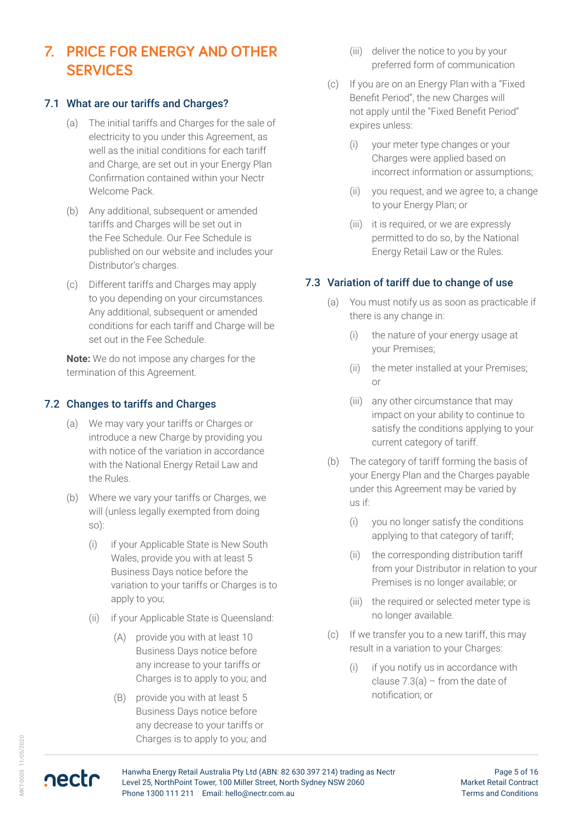# **7. PRICE FOR ENERGY AND OTHER SERVICES**

### 7.1 What are our tariffs and Charges?

- (a) The initial tariffs and Charges for the sale of electricity to you under this Agreement, as well as the initial conditions for each tariff and Charge, are set out in your Energy Plan Confirmation contained within your Nectr Welcome Pack.
- (b) Any additional, subsequent or amended tariffs and Charges will be set out in the Fee Schedule. Our Fee Schedule is published on our website and includes your Distributor's charges.
- (c) Different tariffs and Charges may apply to you depending on your circumstances. Any additional, subsequent or amended conditions for each tariff and Charge will be set out in the Fee Schedule.

**Note:** We do not impose any charges for the termination of this Agreement.

#### 7.2 Changes to tariffs and Charges

- (a) We may vary your tariffs or Charges or introduce a new Charge by providing you with notice of the variation in accordance with the National Energy Retail Law and the Rules.
- (b) Where we vary your tariffs or Charges, we will (unless legally exempted from doing so):
	- (i) if your Applicable State is New South Wales, provide you with at least 5 Business Days notice before the variation to your tariffs or Charges is to apply to you;
	- (ii) if your Applicable State is Queensland:
		- (A) provide you with at least 10 Business Days notice before any increase to your tariffs or Charges is to apply to you; and
		- (B) provide you with at least 5 Business Days notice before any decrease to your tariffs or Charges is to apply to you; and
- (iii) deliver the notice to you by your preferred form of communication
- (c) If you are on an Energy Plan with a "Fixed Benefit Period", the new Charges will not apply until the "Fixed Benefit Period" expires unless:
	- (i) your meter type changes or your Charges were applied based on incorrect information or assumptions;
	- (ii) you request, and we agree to, a change to your Energy Plan; or
	- (iii) it is required, or we are expressly permitted to do so, by the National Energy Retail Law or the Rules.

#### 7.3 Variation of tariff due to change of use

- (a) You must notify us as soon as practicable if there is any change in:
	- (i) the nature of your energy usage at your Premises;
	- (ii) the meter installed at your Premises; or
	- (iii) any other circumstance that may impact on your ability to continue to satisfy the conditions applying to your current category of tariff.
- (b) The category of tariff forming the basis of your Energy Plan and the Charges payable under this Agreement may be varied by us if:
	- (i) you no longer satisfy the conditions applying to that category of tariff;
	- (ii) the corresponding distribution tariff from your Distributor in relation to your Premises is no longer available; or
	- (iii) the required or selected meter type is no longer available.
- (c) If we transfer you to a new tariff, this may result in a variation to your Charges:
	- (i) if you notify us in accordance with clause 7.3(a) – from the date of notification; or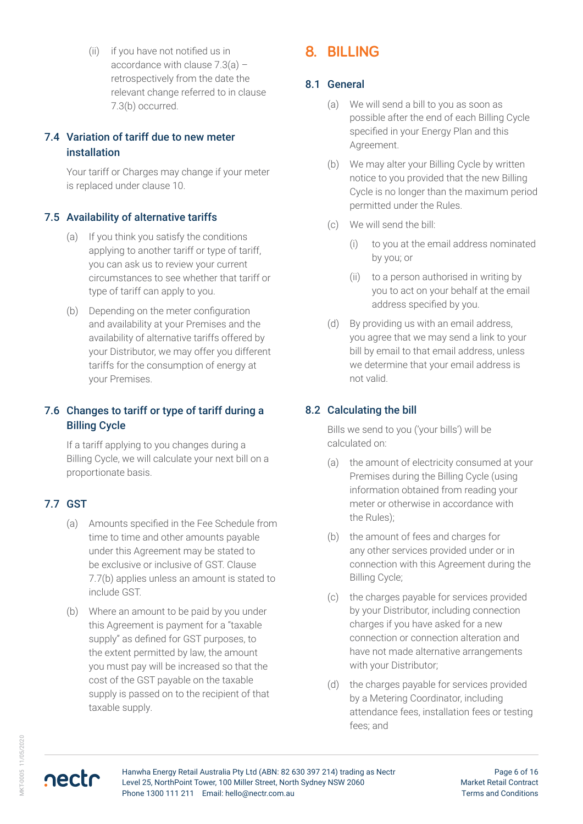(ii) if you have not notified us in accordance with clause 7.3(a) – retrospectively from the date the relevant change referred to in clause 7.3(b) occurred.

### 7.4 Variation of tariff due to new meter installation

Your tariff or Charges may change if your meter is replaced under clause 10.

### 7.5 Availability of alternative tariffs

- (a) If you think you satisfy the conditions applying to another tariff or type of tariff, you can ask us to review your current circumstances to see whether that tariff or type of tariff can apply to you.
- (b) Depending on the meter configuration and availability at your Premises and the availability of alternative tariffs offered by your Distributor, we may offer you different tariffs for the consumption of energy at your Premises.

### 7.6 Changes to tariff or type of tariff during a Billing Cycle

If a tariff applying to you changes during a Billing Cycle, we will calculate your next bill on a proportionate basis.

### 7.7 GST

- (a) Amounts specified in the Fee Schedule from time to time and other amounts payable under this Agreement may be stated to be exclusive or inclusive of GST. Clause 7.7(b) applies unless an amount is stated to include GST.
- (b) Where an amount to be paid by you under this Agreement is payment for a "taxable supply" as defined for GST purposes, to the extent permitted by law, the amount you must pay will be increased so that the cost of the GST payable on the taxable supply is passed on to the recipient of that taxable supply.

# **8. BILLING**

### 8.1 General

- (a) We will send a bill to you as soon as possible after the end of each Billing Cycle specified in your Energy Plan and this Agreement.
- (b) We may alter your Billing Cycle by written notice to you provided that the new Billing Cycle is no longer than the maximum period permitted under the Rules.
- (c) We will send the bill:
	- (i) to you at the email address nominated by you; or
	- (ii) to a person authorised in writing by you to act on your behalf at the email address specified by you.
- (d) By providing us with an email address, you agree that we may send a link to your bill by email to that email address, unless we determine that your email address is not valid.

### 8.2 Calculating the bill

Bills we send to you ('your bills') will be calculated on:

- (a) the amount of electricity consumed at your Premises during the Billing Cycle (using information obtained from reading your meter or otherwise in accordance with the Rules);
- (b) the amount of fees and charges for any other services provided under or in connection with this Agreement during the Billing Cycle;
- (c) the charges payable for services provided by your Distributor, including connection charges if you have asked for a new connection or connection alteration and have not made alternative arrangements with your Distributor;
- (d) the charges payable for services provided by a Metering Coordinator, including attendance fees, installation fees or testing fees; and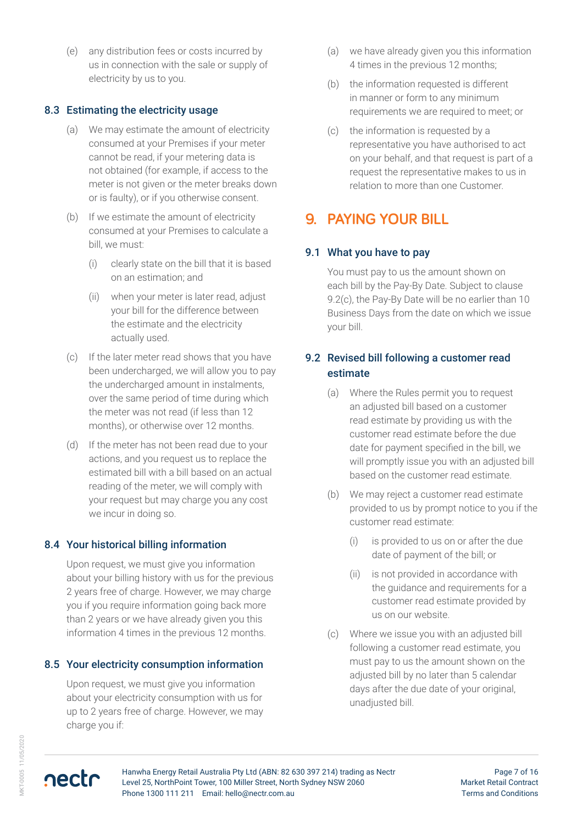(e) any distribution fees or costs incurred by us in connection with the sale or supply of electricity by us to you.

#### 8.3 Estimating the electricity usage

- (a) We may estimate the amount of electricity consumed at your Premises if your meter cannot be read, if your metering data is not obtained (for example, if access to the meter is not given or the meter breaks down or is faulty), or if you otherwise consent.
- (b) If we estimate the amount of electricity consumed at your Premises to calculate a bill, we must:
	- (i) clearly state on the bill that it is based on an estimation; and
	- (ii) when your meter is later read, adjust your bill for the difference between the estimate and the electricity actually used.
- (c) If the later meter read shows that you have been undercharged, we will allow you to pay the undercharged amount in instalments, over the same period of time during which the meter was not read (if less than 12 months), or otherwise over 12 months.
- (d) If the meter has not been read due to your actions, and you request us to replace the estimated bill with a bill based on an actual reading of the meter, we will comply with your request but may charge you any cost we incur in doing so.

### 8.4 Your historical billing information

Upon request, we must give you information about your billing history with us for the previous 2 years free of charge. However, we may charge you if you require information going back more than 2 years or we have already given you this information 4 times in the previous 12 months.

### 8.5 Your electricity consumption information

Upon request, we must give you information about your electricity consumption with us for up to 2 years free of charge. However, we may charge you if:

- (a) we have already given you this information 4 times in the previous 12 months;
- (b) the information requested is different in manner or form to any minimum requirements we are required to meet; or
- (c) the information is requested by a representative you have authorised to act on your behalf, and that request is part of a request the representative makes to us in relation to more than one Customer.

### **9. PAYING YOUR BILL**

#### 9.1 What you have to pay

You must pay to us the amount shown on each bill by the Pay-By Date. Subject to clause 9.2(c), the Pay-By Date will be no earlier than 10 Business Days from the date on which we issue your bill.

### 9.2 Revised bill following a customer read estimate

- (a) Where the Rules permit you to request an adjusted bill based on a customer read estimate by providing us with the customer read estimate before the due date for payment specified in the bill, we will promptly issue you with an adjusted bill based on the customer read estimate.
- (b) We may reject a customer read estimate provided to us by prompt notice to you if the customer read estimate:
	- (i) is provided to us on or after the due date of payment of the bill; or
	- (ii) is not provided in accordance with the guidance and requirements for a customer read estimate provided by us on our website.
- (c) Where we issue you with an adjusted bill following a customer read estimate, you must pay to us the amount shown on the adjusted bill by no later than 5 calendar days after the due date of your original, unadjusted bill.

MKT-0005 11/05/2020

**AKT-0005 11/05/2020**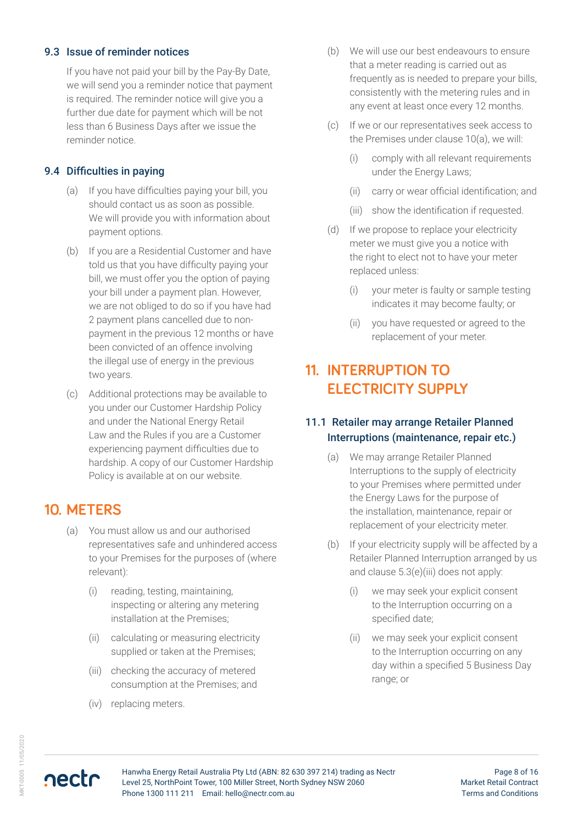### 9.3 Issue of reminder notices

If you have not paid your bill by the Pay-By Date, we will send you a reminder notice that payment is required. The reminder notice will give you a further due date for payment which will be not less than 6 Business Days after we issue the reminder notice.

### 9.4 Difficulties in paying

- (a) If you have difficulties paying your bill, you should contact us as soon as possible. We will provide you with information about payment options.
- (b) If you are a Residential Customer and have told us that you have difficulty paying your bill, we must offer you the option of paying your bill under a payment plan. However, we are not obliged to do so if you have had 2 payment plans cancelled due to nonpayment in the previous 12 months or have been convicted of an offence involving the illegal use of energy in the previous two years.
- (c) Additional protections may be available to you under our Customer Hardship Policy and under the National Energy Retail Law and the Rules if you are a Customer experiencing payment difficulties due to hardship. A copy of our Customer Hardship Policy is available at on our website.

# **10. METERS**

- (a) You must allow us and our authorised representatives safe and unhindered access to your Premises for the purposes of (where relevant):
	- (i) reading, testing, maintaining, inspecting or altering any metering installation at the Premises;
	- (ii) calculating or measuring electricity supplied or taken at the Premises;
	- (iii) checking the accuracy of metered consumption at the Premises; and
	- (iv) replacing meters.
- (b) We will use our best endeavours to ensure that a meter reading is carried out as frequently as is needed to prepare your bills, consistently with the metering rules and in any event at least once every 12 months.
- (c) If we or our representatives seek access to the Premises under clause 10(a), we will:
	- (i) comply with all relevant requirements under the Energy Laws;
	- (ii) carry or wear official identification; and
	- (iii) show the identification if requested.
- (d) If we propose to replace your electricity meter we must give you a notice with the right to elect not to have your meter replaced unless:
	- (i) your meter is faulty or sample testing indicates it may become faulty; or
	- (ii) you have requested or agreed to the replacement of your meter.

# **11. INTERRUPTION TO ELECTRICITY SUPPLY**

### 11.1 Retailer may arrange Retailer Planned Interruptions (maintenance, repair etc.)

- (a) We may arrange Retailer Planned Interruptions to the supply of electricity to your Premises where permitted under the Energy Laws for the purpose of the installation, maintenance, repair or replacement of your electricity meter.
- (b) If your electricity supply will be affected by a Retailer Planned Interruption arranged by us and clause 5.3(e)(iii) does not apply:
	- (i) we may seek your explicit consent to the Interruption occurring on a specified date;
	- (ii) we may seek your explicit consent to the Interruption occurring on any day within a specified 5 Business Day range; or

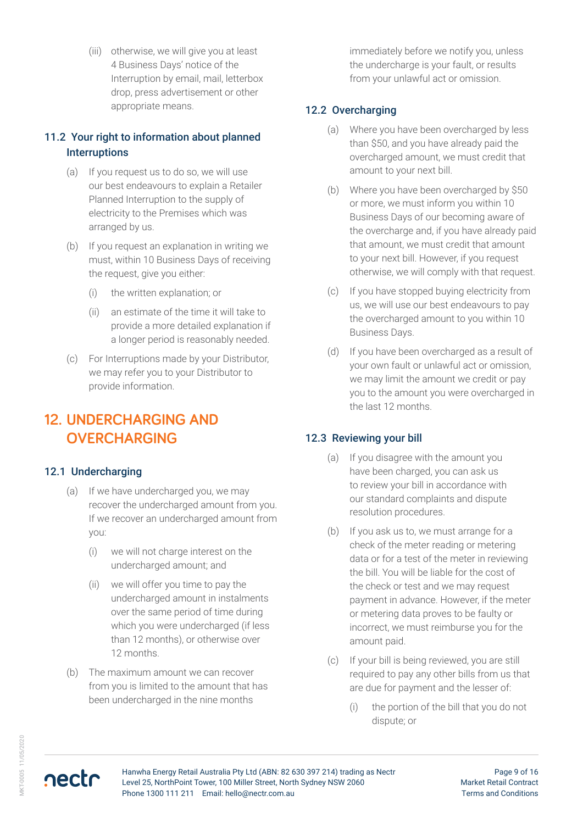(iii) otherwise, we will give you at least 4 Business Days' notice of the Interruption by email, mail, letterbox drop, press advertisement or other appropriate means.

### 11.2 Your right to information about planned **Interruptions**

- (a) If you request us to do so, we will use our best endeavours to explain a Retailer Planned Interruption to the supply of electricity to the Premises which was arranged by us.
- (b) If you request an explanation in writing we must, within 10 Business Days of receiving the request, give you either:
	- (i) the written explanation; or
	- (ii) an estimate of the time it will take to provide a more detailed explanation if a longer period is reasonably needed.
- (c) For Interruptions made by your Distributor, we may refer you to your Distributor to provide information.

# **12. UNDERCHARGING AND OVERCHARGING**

### 12.1 Undercharging

- (a) If we have undercharged you, we may recover the undercharged amount from you. If we recover an undercharged amount from you:
	- (i) we will not charge interest on the undercharged amount; and
	- (ii) we will offer you time to pay the undercharged amount in instalments over the same period of time during which you were undercharged (if less than 12 months), or otherwise over 12 months.
- (b) The maximum amount we can recover from you is limited to the amount that has been undercharged in the nine months

immediately before we notify you, unless the undercharge is your fault, or results from your unlawful act or omission.

### 12.2 Overcharging

- (a) Where you have been overcharged by less than \$50, and you have already paid the overcharged amount, we must credit that amount to your next bill.
- (b) Where you have been overcharged by \$50 or more, we must inform you within 10 Business Days of our becoming aware of the overcharge and, if you have already paid that amount, we must credit that amount to your next bill. However, if you request otherwise, we will comply with that request.
- (c) If you have stopped buying electricity from us, we will use our best endeavours to pay the overcharged amount to you within 10 Business Days.
- (d) If you have been overcharged as a result of your own fault or unlawful act or omission, we may limit the amount we credit or pay you to the amount you were overcharged in the last 12 months.

### 12.3 Reviewing your bill

- (a) If you disagree with the amount you have been charged, you can ask us to review your bill in accordance with our standard complaints and dispute resolution procedures.
- (b) If you ask us to, we must arrange for a check of the meter reading or metering data or for a test of the meter in reviewing the bill. You will be liable for the cost of the check or test and we may request payment in advance. However, if the meter or metering data proves to be faulty or incorrect, we must reimburse you for the amount paid.
- (c) If your bill is being reviewed, you are still required to pay any other bills from us that are due for payment and the lesser of:
	- (i) the portion of the bill that you do not dispute; or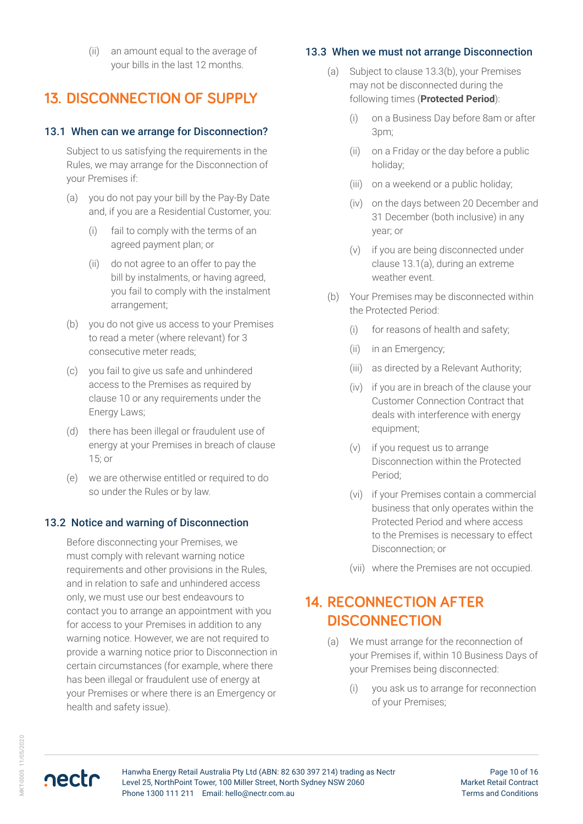(ii) an amount equal to the average of your bills in the last 12 months.

# **13. DISCONNECTION OF SUPPLY**

### 13.1 When can we arrange for Disconnection?

Subject to us satisfying the requirements in the Rules, we may arrange for the Disconnection of your Premises if:

- (a) you do not pay your bill by the Pay-By Date and, if you are a Residential Customer, you:
	- (i) fail to comply with the terms of an agreed payment plan; or
	- (ii) do not agree to an offer to pay the bill by instalments, or having agreed, you fail to comply with the instalment arrangement;
- (b) you do not give us access to your Premises to read a meter (where relevant) for 3 consecutive meter reads;
- (c) you fail to give us safe and unhindered access to the Premises as required by clause 10 or any requirements under the Energy Laws;
- (d) there has been illegal or fraudulent use of energy at your Premises in breach of clause 15; or
- (e) we are otherwise entitled or required to do so under the Rules or by law.

### 13.2 Notice and warning of Disconnection

Before disconnecting your Premises, we must comply with relevant warning notice requirements and other provisions in the Rules, and in relation to safe and unhindered access only, we must use our best endeavours to contact you to arrange an appointment with you for access to your Premises in addition to any warning notice. However, we are not required to provide a warning notice prior to Disconnection in certain circumstances (for example, where there has been illegal or fraudulent use of energy at your Premises or where there is an Emergency or health and safety issue).

### 13.3 When we must not arrange Disconnection

- (a) Subject to clause 13.3(b), your Premises may not be disconnected during the following times (**Protected Period**):
	- (i) on a Business Day before 8am or after 3pm;
	- (ii) on a Friday or the day before a public holiday;
	- (iii) on a weekend or a public holiday;
	- (iv) on the days between 20 December and 31 December (both inclusive) in any year; or
	- (v) if you are being disconnected under clause 13.1(a), during an extreme weather event.
- (b) Your Premises may be disconnected within the Protected Period:
	- (i) for reasons of health and safety;
	- (ii) in an Emergency;
	- (iii) as directed by a Relevant Authority;
	- (iv) if you are in breach of the clause your Customer Connection Contract that deals with interference with energy equipment;
	- (v) if you request us to arrange Disconnection within the Protected Period;
	- (vi) if your Premises contain a commercial business that only operates within the Protected Period and where access to the Premises is necessary to effect Disconnection; or
	- (vii) where the Premises are not occupied.

# **14. RECONNECTION AFTER DISCONNECTION**

- (a) We must arrange for the reconnection of your Premises if, within 10 Business Days of your Premises being disconnected:
	- (i) you ask us to arrange for reconnection of your Premises;

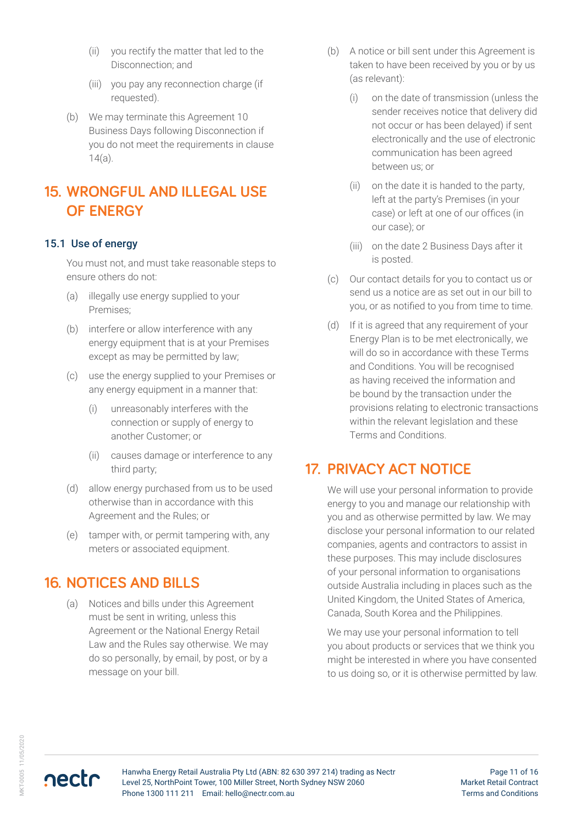- (ii) you rectify the matter that led to the Disconnection; and
- (iii) you pay any reconnection charge (if requested).
- (b) We may terminate this Agreement 10 Business Days following Disconnection if you do not meet the requirements in clause 14(a).

# **15. WRONGFUL AND ILLEGAL USE OF ENERGY**

#### 15.1 Use of energy

You must not, and must take reasonable steps to ensure others do not:

- (a) illegally use energy supplied to your Premises;
- (b) interfere or allow interference with any energy equipment that is at your Premises except as may be permitted by law;
- (c) use the energy supplied to your Premises or any energy equipment in a manner that:
	- (i) unreasonably interferes with the connection or supply of energy to another Customer; or
	- (ii) causes damage or interference to any third party;
- (d) allow energy purchased from us to be used otherwise than in accordance with this Agreement and the Rules; or
- (e) tamper with, or permit tampering with, any meters or associated equipment.

### **16. NOTICES AND BILLS**

(a) Notices and bills under this Agreement must be sent in writing, unless this Agreement or the National Energy Retail Law and the Rules say otherwise. We may do so personally, by email, by post, or by a message on your bill.

- (b) A notice or bill sent under this Agreement is taken to have been received by you or by us (as relevant):
	- (i) on the date of transmission (unless the sender receives notice that delivery did not occur or has been delayed) if sent electronically and the use of electronic communication has been agreed between us; or
	- (ii) on the date it is handed to the party, left at the party's Premises (in your case) or left at one of our offices (in our case); or
	- (iii) on the date 2 Business Days after it is posted.
- (c) Our contact details for you to contact us or send us a notice are as set out in our bill to you, or as notified to you from time to time.
- (d) If it is agreed that any requirement of your Energy Plan is to be met electronically, we will do so in accordance with these Terms and Conditions. You will be recognised as having received the information and be bound by the transaction under the provisions relating to electronic transactions within the relevant legislation and these Terms and Conditions.

### **17. PRIVACY ACT NOTICE**

We will use your personal information to provide energy to you and manage our relationship with you and as otherwise permitted by law. We may disclose your personal information to our related companies, agents and contractors to assist in these purposes. This may include disclosures of your personal information to organisations outside Australia including in places such as the United Kingdom, the United States of America, Canada, South Korea and the Philippines.

We may use your personal information to tell you about products or services that we think you might be interested in where you have consented to us doing so, or it is otherwise permitted by law.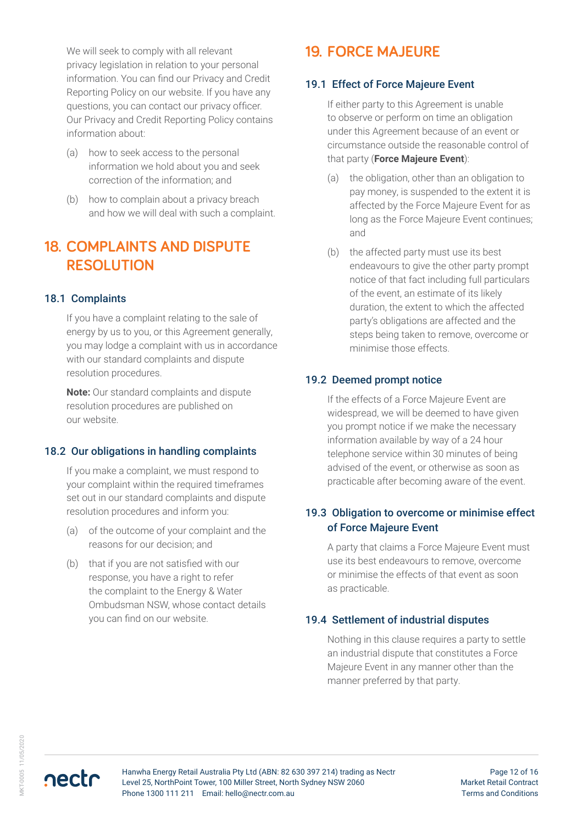We will seek to comply with all relevant privacy legislation in relation to your personal information. You can find our Privacy and Credit Reporting Policy on our website. If you have any questions, you can contact our privacy officer. Our Privacy and Credit Reporting Policy contains information about:

- (a) how to seek access to the personal information we hold about you and seek correction of the information; and
- (b) how to complain about a privacy breach and how we will deal with such a complaint.

# **18. COMPLAINTS AND DISPUTE RESOLUTION**

#### 18.1 Complaints

If you have a complaint relating to the sale of energy by us to you, or this Agreement generally, you may lodge a complaint with us in accordance with our standard complaints and dispute resolution procedures.

**Note:** Our standard complaints and dispute resolution procedures are published on our website.

#### 18.2 Our obligations in handling complaints

If you make a complaint, we must respond to your complaint within the required timeframes set out in our standard complaints and dispute resolution procedures and inform you:

- (a) of the outcome of your complaint and the reasons for our decision; and
- (b) that if you are not satisfied with our response, you have a right to refer the complaint to the Energy & Water Ombudsman NSW, whose contact details you can find on our website.

# **19. FORCE MAJEURE**

#### 19.1 Effect of Force Majeure Event

If either party to this Agreement is unable to observe or perform on time an obligation under this Agreement because of an event or circumstance outside the reasonable control of that party (**Force Majeure Event**):

- (a) the obligation, other than an obligation to pay money, is suspended to the extent it is affected by the Force Majeure Event for as long as the Force Majeure Event continues; and
- (b) the affected party must use its best endeavours to give the other party prompt notice of that fact including full particulars of the event, an estimate of its likely duration, the extent to which the affected party's obligations are affected and the steps being taken to remove, overcome or minimise those effects.

### 19.2 Deemed prompt notice

If the effects of a Force Majeure Event are widespread, we will be deemed to have given you prompt notice if we make the necessary information available by way of a 24 hour telephone service within 30 minutes of being advised of the event, or otherwise as soon as practicable after becoming aware of the event.

### 19.3 Obligation to overcome or minimise effect of Force Majeure Event

A party that claims a Force Majeure Event must use its best endeavours to remove, overcome or minimise the effects of that event as soon as practicable.

#### 19.4 Settlement of industrial disputes

Nothing in this clause requires a party to settle an industrial dispute that constitutes a Force Majeure Event in any manner other than the manner preferred by that party.

**AKT-0005 11/05/2020** MKT-0005 11/05/2020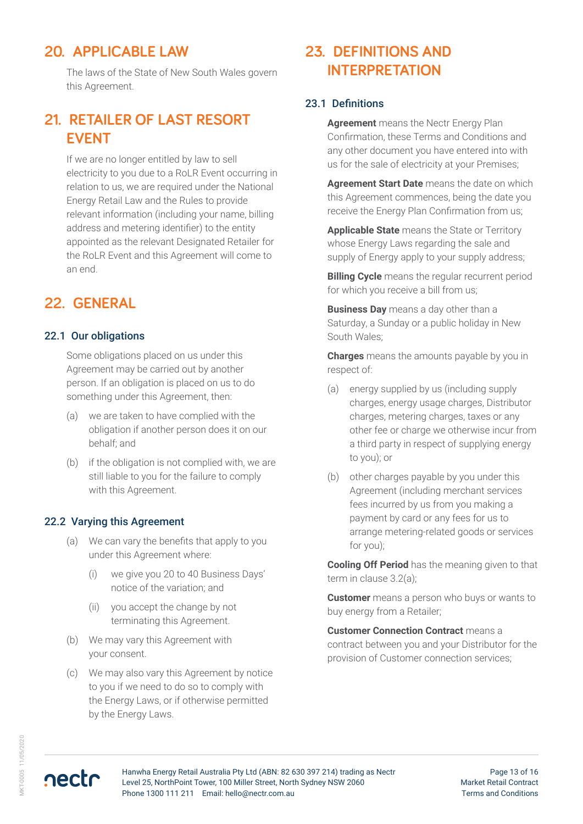# **20. APPLICABLE LAW**

The laws of the State of New South Wales govern this Agreement.

# **21. RETAILER OF LAST RESORT EVENT**

If we are no longer entitled by law to sell electricity to you due to a RoLR Event occurring in relation to us, we are required under the National Energy Retail Law and the Rules to provide relevant information (including your name, billing address and metering identifier) to the entity appointed as the relevant Designated Retailer for the RoLR Event and this Agreement will come to an end.

### **22. GENERAL**

#### 22.1 Our obligations

Some obligations placed on us under this Agreement may be carried out by another person. If an obligation is placed on us to do something under this Agreement, then:

- (a) we are taken to have complied with the obligation if another person does it on our behalf; and
- (b) if the obligation is not complied with, we are still liable to you for the failure to comply with this Agreement.

#### 22.2 Varying this Agreement

- (a) We can vary the benefits that apply to you under this Agreement where:
	- (i) we give you 20 to 40 Business Days' notice of the variation; and
	- (ii) you accept the change by not terminating this Agreement.
- (b) We may vary this Agreement with your consent.
- (c) We may also vary this Agreement by notice to you if we need to do so to comply with the Energy Laws, or if otherwise permitted by the Energy Laws.

# **23. DEFINITIONS AND INTERPRETATION**

#### 23.1 Definitions

**Agreement** means the Nectr Energy Plan Confirmation, these Terms and Conditions and any other document you have entered into with us for the sale of electricity at your Premises;

**Agreement Start Date** means the date on which this Agreement commences, being the date you receive the Energy Plan Confirmation from us;

**Applicable State** means the State or Territory whose Energy Laws regarding the sale and supply of Energy apply to your supply address;

**Billing Cycle** means the regular recurrent period for which you receive a bill from us;

**Business Day** means a day other than a Saturday, a Sunday or a public holiday in New South Wales;

**Charges** means the amounts payable by you in respect of:

- (a) energy supplied by us (including supply charges, energy usage charges, Distributor charges, metering charges, taxes or any other fee or charge we otherwise incur from a third party in respect of supplying energy to you); or
- (b) other charges payable by you under this Agreement (including merchant services fees incurred by us from you making a payment by card or any fees for us to arrange metering-related goods or services for you);

**Cooling Off Period** has the meaning given to that term in clause 3.2(a);

**Customer** means a person who buys or wants to buy energy from a Retailer;

**Customer Connection Contract** means a contract between you and your Distributor for the provision of Customer connection services;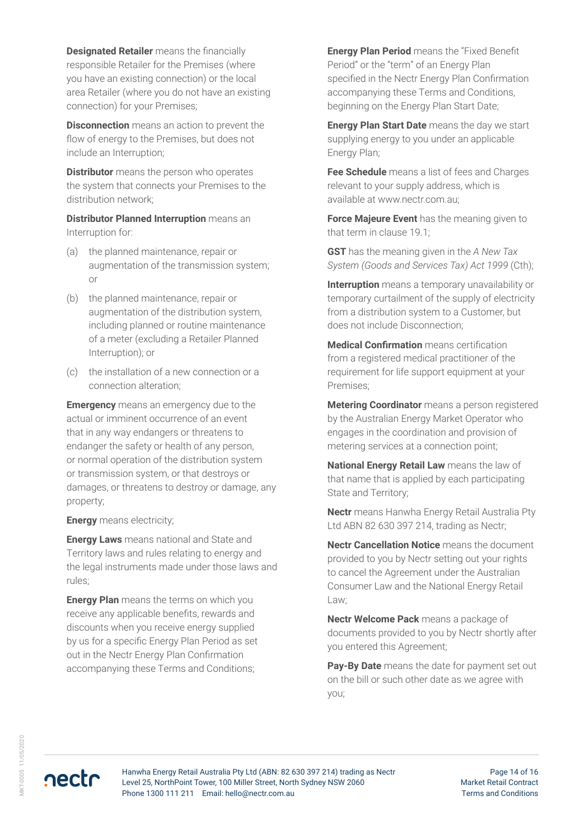**Designated Retailer** means the financially responsible Retailer for the Premises (where you have an existing connection) or the local area Retailer (where you do not have an existing connection) for your Premises;

**Disconnection** means an action to prevent the flow of energy to the Premises, but does not include an Interruption;

**Distributor** means the person who operates the system that connects your Premises to the distribution network;

**Distributor Planned Interruption** means an Interruption for:

- (a) the planned maintenance, repair or augmentation of the transmission system; or
- (b) the planned maintenance, repair or augmentation of the distribution system, including planned or routine maintenance of a meter (excluding a Retailer Planned Interruption); or
- (c) the installation of a new connection or a connection alteration;

**Emergency** means an emergency due to the actual or imminent occurrence of an event that in any way endangers or threatens to endanger the safety or health of any person, or normal operation of the distribution system or transmission system, or that destroys or damages, or threatens to destroy or damage, any property;

**Energy** means electricity;

**Energy Laws** means national and State and Territory laws and rules relating to energy and the legal instruments made under those laws and rules;

**Energy Plan** means the terms on which you receive any applicable benefits, rewards and discounts when you receive energy supplied by us for a specific Energy Plan Period as set out in the Nectr Energy Plan Confirmation accompanying these Terms and Conditions;

**Energy Plan Period** means the "Fixed Benefit Period" or the "term" of an Energy Plan specified in the Nectr Energy Plan Confirmation accompanying these Terms and Conditions, beginning on the Energy Plan Start Date;

**Energy Plan Start Date** means the day we start supplying energy to you under an applicable Energy Plan;

**Fee Schedule** means a list of fees and Charges relevant to your supply address, which is available at www.nectr.com.au;

**Force Majeure Event** has the meaning given to that term in clause 19.1;

**GST** has the meaning given in the *A New Tax System (Goods and Services Tax) Act 1999* (Cth);

**Interruption** means a temporary unavailability or temporary curtailment of the supply of electricity from a distribution system to a Customer, but does not include Disconnection;

**Medical Confirmation** means certification from a registered medical practitioner of the requirement for life support equipment at your Premises;

**Metering Coordinator** means a person registered by the Australian Energy Market Operator who engages in the coordination and provision of metering services at a connection point;

**National Energy Retail Law** means the law of that name that is applied by each participating State and Territory;

**Nectr** means Hanwha Energy Retail Australia Pty Ltd ABN 82 630 397 214, trading as Nectr;

**Nectr Cancellation Notice** means the document provided to you by Nectr setting out your rights to cancel the Agreement under the Australian Consumer Law and the National Energy Retail Law;

**Nectr Welcome Pack** means a package of documents provided to you by Nectr shortly after you entered this Agreement;

**Pay-By Date** means the date for payment set out on the bill or such other date as we agree with you;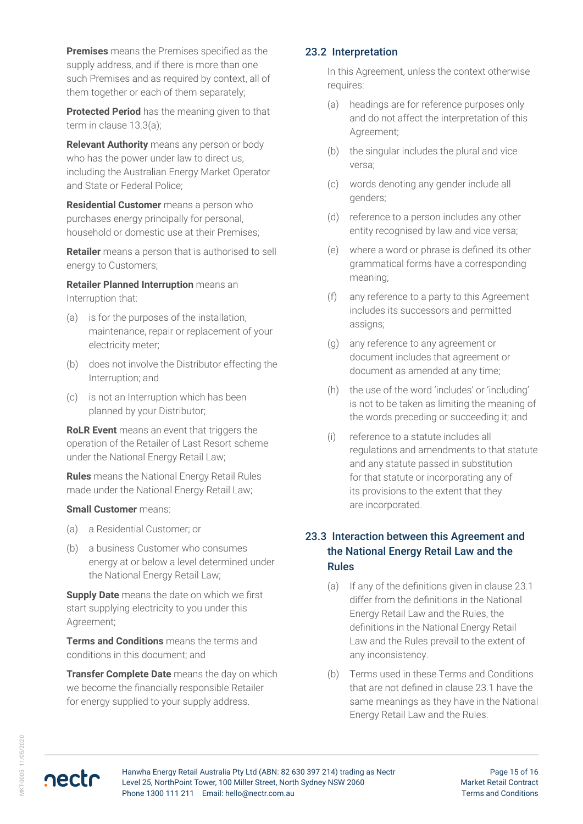**Premises** means the Premises specified as the supply address, and if there is more than one such Premises and as required by context, all of them together or each of them separately;

**Protected Period** has the meaning given to that term in clause 13.3(a);

**Relevant Authority** means any person or body who has the power under law to direct us, including the Australian Energy Market Operator and State or Federal Police;

**Residential Customer** means a person who purchases energy principally for personal, household or domestic use at their Premises;

**Retailer** means a person that is authorised to sell energy to Customers;

**Retailer Planned Interruption** means an Interruption that:

- (a) is for the purposes of the installation, maintenance, repair or replacement of your electricity meter;
- (b) does not involve the Distributor effecting the Interruption; and
- (c) is not an Interruption which has been planned by your Distributor;

**RoLR Event** means an event that triggers the operation of the Retailer of Last Resort scheme under the National Energy Retail Law;

**Rules** means the National Energy Retail Rules made under the National Energy Retail Law;

#### **Small Customer** means:

- (a) a Residential Customer; or
- (b) a business Customer who consumes energy at or below a level determined under the National Energy Retail Law;

**Supply Date** means the date on which we first start supplying electricity to you under this Agreement;

**Terms and Conditions** means the terms and conditions in this document; and

**Transfer Complete Date** means the day on which we become the financially responsible Retailer for energy supplied to your supply address.

#### 23.2 Interpretation

In this Agreement, unless the context otherwise requires:

- (a) headings are for reference purposes only and do not affect the interpretation of this Agreement;
- (b) the singular includes the plural and vice versa;
- (c) words denoting any gender include all genders;
- (d) reference to a person includes any other entity recognised by law and vice versa;
- (e) where a word or phrase is defined its other grammatical forms have a corresponding meaning;
- (f) any reference to a party to this Agreement includes its successors and permitted assigns;
- (g) any reference to any agreement or document includes that agreement or document as amended at any time;
- (h) the use of the word 'includes' or 'including' is not to be taken as limiting the meaning of the words preceding or succeeding it; and
- (i) reference to a statute includes all regulations and amendments to that statute and any statute passed in substitution for that statute or incorporating any of its provisions to the extent that they are incorporated.

### 23.3 Interaction between this Agreement and the National Energy Retail Law and the Rules

- (a) If any of the definitions given in clause 23.1 differ from the definitions in the National Energy Retail Law and the Rules, the definitions in the National Energy Retail Law and the Rules prevail to the extent of any inconsistency.
- (b) Terms used in these Terms and Conditions that are not defined in clause 23.1 have the same meanings as they have in the National Energy Retail Law and the Rules.

nectr